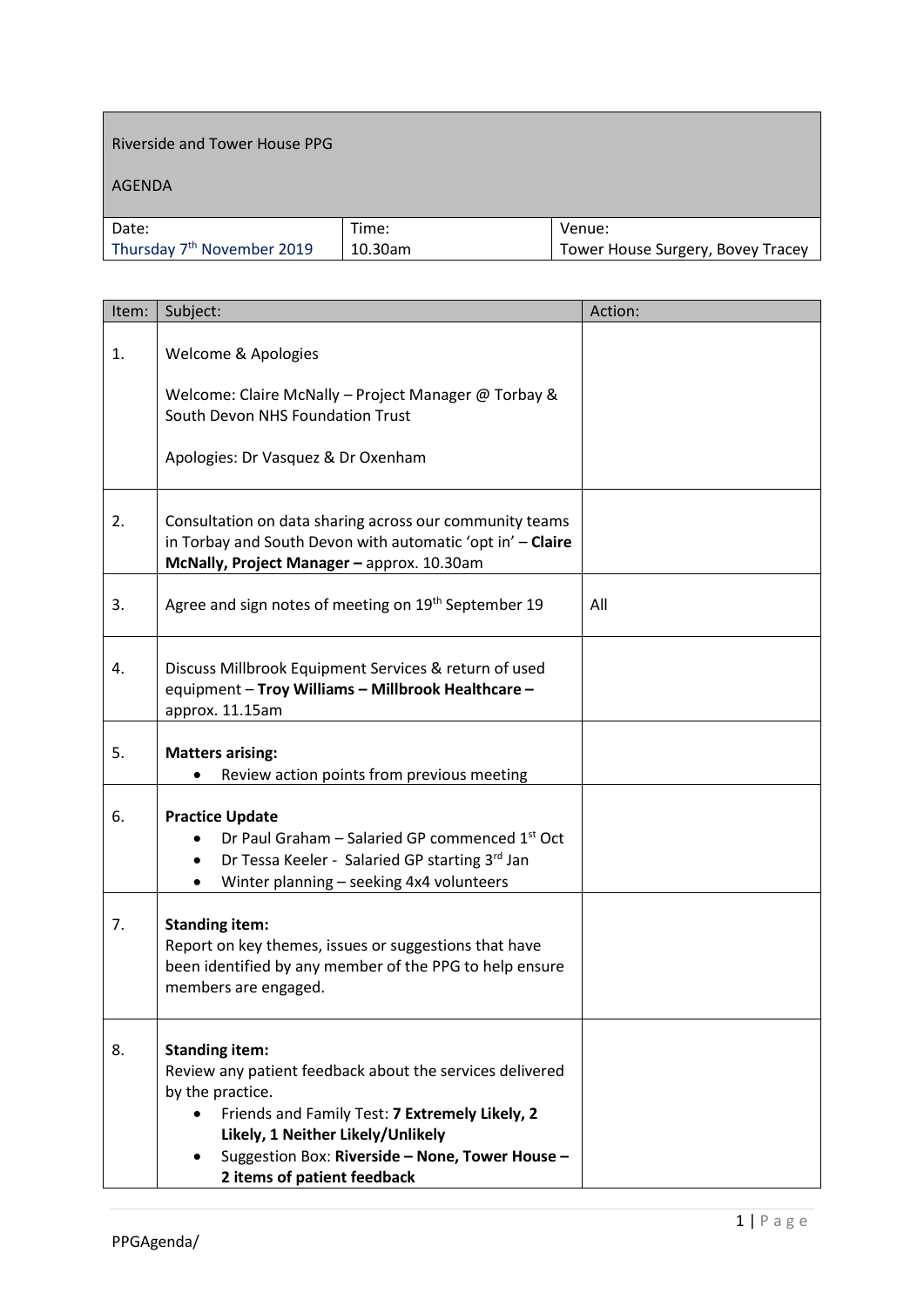## Riverside and Tower House PPG

## AGENDA

| Date:                                  | Time:   | Venue:                            |
|----------------------------------------|---------|-----------------------------------|
| Thursday 7 <sup>th</sup> November 2019 | 10.30am | Tower House Surgery, Bovey Tracey |

| Item: | Subject:                                                                                                                                                                                                                                                                       | Action: |
|-------|--------------------------------------------------------------------------------------------------------------------------------------------------------------------------------------------------------------------------------------------------------------------------------|---------|
| 1.    | Welcome & Apologies                                                                                                                                                                                                                                                            |         |
|       | Welcome: Claire McNally - Project Manager @ Torbay &<br>South Devon NHS Foundation Trust                                                                                                                                                                                       |         |
|       | Apologies: Dr Vasquez & Dr Oxenham                                                                                                                                                                                                                                             |         |
| 2.    | Consultation on data sharing across our community teams<br>in Torbay and South Devon with automatic 'opt in' - Claire<br>McNally, Project Manager - approx. 10.30am                                                                                                            |         |
| 3.    | Agree and sign notes of meeting on 19 <sup>th</sup> September 19                                                                                                                                                                                                               | All     |
| 4.    | Discuss Millbrook Equipment Services & return of used<br>equipment - Troy Williams - Millbrook Healthcare -<br>approx. 11.15am                                                                                                                                                 |         |
| 5.    | <b>Matters arising:</b><br>Review action points from previous meeting                                                                                                                                                                                                          |         |
| 6.    | <b>Practice Update</b><br>Dr Paul Graham - Salaried GP commenced 1 <sup>st</sup> Oct<br>Dr Tessa Keeler - Salaried GP starting 3rd Jan<br>Winter planning - seeking 4x4 volunteers                                                                                             |         |
| 7.    | <b>Standing item:</b><br>Report on key themes, issues or suggestions that have<br>been identified by any member of the PPG to help ensure<br>members are engaged.                                                                                                              |         |
| 8.    | <b>Standing item:</b><br>Review any patient feedback about the services delivered<br>by the practice.<br>Friends and Family Test: 7 Extremely Likely, 2<br>Likely, 1 Neither Likely/Unlikely<br>Suggestion Box: Riverside - None, Tower House -<br>2 items of patient feedback |         |